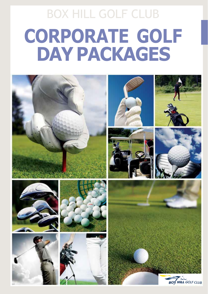# BOX HILL GOLF CLUB **CORPORATE GOLF DAY PACKAGES**

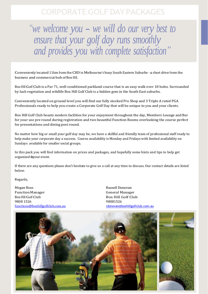### CORPORATEGOLF DAYPACKAGES

*" we welcome you - we will do our very best to ensure that your golf day runs smoothly and provides you with complete satisfaction "*

Conveniently located 11km from the CBD in Melbourne's busy South Eastern Suburbs - a short drive from the business and commercial hub of Box Hill,

Box Hill Golf Club is a Par 71, well-conditioned parkland course that is an easy walk over 18 holes. Surrounded by lush vegetation and wildlife Box Hill Golf Club is a hidden gem in the South East suburbs.

Conveniently located on ground level you will find our fully stocked Pro Shop and 3 Triple A rated PGA Professionals ready to help you create a Corporate Golf Day that will be unique to you and your clients.

Box Hill Golf Club boasts modern facilities for your enjoyment throughout the day, Members Lounge and Bar for your use pre round during registration and two beautiful Function Rooms overlooking the course perfect for presentations and dining post round.

No matter how big or small your golf day may be, we have a skillful and friendly team of professional staff ready to help make your corporate day a success. Course availability is Monday and Fridays with limited availability on Sundays available for smaller social groups.

In this pack you will find information on prices and packages, and hopefully some hints and tips to help get organized foyour event.

If there are any questions please don't hesitate to give us a call at any time to discuss. Our contact details are listed below.

Regards,

Megan Ross **Russell Donovan** Function Manager General Manager Box Hill Golf Club Box Hill Golf Club 9808 1526 98081526 [functions@boxhillgolfclub.com.au](mailto:functions@boxhillgolfclub.com.au) [rdonovan@boxhillgolfclub.com.au](mailto:rdonovan@boxhillgolfclub.com.au)

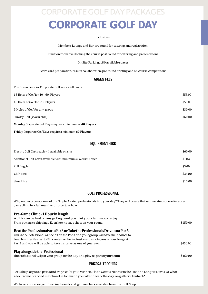### CORPORATEGOLF DAYPACKAGES

## **CORPORATE GOLF DAY**

#### Inclusions:

Members Lounge and Bar pre round for catering and registration

Function room overlooking the course post round for catering and presentations

On-Site Parking, 180 available spaces

Score card preparation, results collaboration, pre round briefing and on course competitions

#### **GREEN FEES**

The Green Fees for Corporate Golf are as follows -

| <b>Monday</b> Corporate Golf Days require a minimum of 40 Players |         |
|-------------------------------------------------------------------|---------|
| Sunday Golf (if available)                                        | \$60.00 |
| 9 Holes of Golf for any group                                     | \$30.00 |
| 18 Holes of Golf for 61+ Players                                  | \$50.00 |
| 18 Holes of Golf for 40 - 60 Players                              | \$55.00 |

**Friday** Corporate Golf Days require a minimum **60 Players**

#### **EQUIPMENTHIRE**

| Electric Golf Carts each - 4 available on site               | \$60.00 |
|--------------------------------------------------------------|---------|
| Additional Golf Carts available with minimum 6 weeks' notice | \$TBA   |
| Pull Buggies                                                 | \$5.00  |
| Club Hire                                                    | \$35.00 |
| Shoe Hire                                                    | \$15.00 |

#### **GOLF PROFESSIONAL**

Why not incorporate one of our Triple A rated professionals into your day? They will create that unique atmosphere for apregame clinic, in a full round or on a certain hole.

| Pre-Game Clinic - 1 Hour in length                                                    |          |
|---------------------------------------------------------------------------------------|----------|
| A clinic can be held on any golfing need you think your clients would enjoy.          |          |
| From putting to chipping Even how to save shots on your round!                        | \$150.00 |
| Beatthe Professionals on a Par 3 or Take the Professionals Drive on a Par 5           |          |
| Our AAA Professional will tee off on the Par 3 and your group will have the chance to |          |
| beat him in a Nearest to Pin contest or the Professional can join you on our longest  |          |
| Par 5 and you will be able to take his drive as one of your own.                      | \$450.00 |
| <b>Play alongside the Professional</b>                                                |          |
| The Professional will join your group for the day and play as part of your team.      | \$450.00 |

#### **PRIZES & TROPHIES**

Let us help organize prizes and trophies for your Winners, Place Getters, Nearest to the Pins and Longest Drives. Or what about some branded merchandise to remind your attendees of the day long after it's finished?

We have a wide range of leading brands and gift vouchers available from our Golf Shop.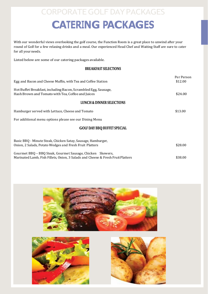### CORPORATEGOLF DAYPACKAGES **CATERING PACKAGES**

With our wonderful views overlooking the golf course, the Function Room is a great place to unwind after your round of Golf for a few relaxing drinks and a meal. Our experienced Head Chef and Waiting Staff are sure to cater for all yourneeds.

Listed below are some of our catering packages available.

#### **BREAKFAST SELECTIONS**

| Egg and Bacon and Cheese Muffin, with Tea and Coffee Station                                                        | Per Person<br>\$12.00 |
|---------------------------------------------------------------------------------------------------------------------|-----------------------|
|                                                                                                                     |                       |
| Hot Buffet Breakfast, including Bacon, Scrambled Egg, Sausage,<br>Hash Brown and Tomato with Tea, Coffee and Juices | \$24.00               |
|                                                                                                                     |                       |
| <b>LUNCH &amp; DINNER SELECTIONS</b>                                                                                |                       |
| Hamburger served with Lettuce, Cheese and Tomato                                                                    | \$13.00               |
| For additional menu options please see our Dining Menu                                                              |                       |
| <b>GOLF DAY BBQ BUFFET SPECIAL</b>                                                                                  |                       |
| Basic BBQ - Minute Steak, Chicken Satay, Sausage, Hamburger,                                                        |                       |
| Onion, 2 Salads, Potato Wedges and Fresh Fruit Platters                                                             | \$28.00               |
| Gourmet BBQ - BBQ Steak, Gourmet Sausage, Chicken Skewers,                                                          |                       |
| Marinated Lamb, Fish Fillets, Onion, 3 Salads and Cheese & Fresh Fruit Platters                                     | \$38.00               |



![](_page_3_Picture_6.jpeg)

![](_page_3_Picture_7.jpeg)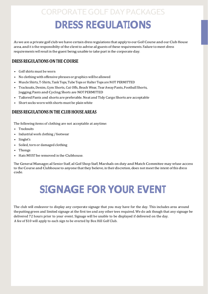## CORPORATEGOLF DAYPACKAGES

## **DRESS REGULATIONS**

As we are a private golf club we have certain dress regulations that apply to our Golf Course and our Club House area, and it is the responsibility of the client to advise all guests of these requirements. Failure to meet dress requirements will result in the guest being unable to take part in the corporate day.

#### **DRESS REGULATIONSONTHE COURSE**

- Golf shirts must be worn
- No clothing with offensive phrases or graphicswill be allowed
- Muscle Shirts, T-Shirts, Tank Tops, Tube Tops or Halter Tops are NOT PERMITTED
- Tracksuits, Denim, Gym Shorts, Cut Offs, Beach Wear, Tear Away Pants, Football Shorts, Jogging Pants and Cycling Shorts are NOT PERMITTED
- Tailored Pants and shorts are preferable. Neat and Tidy Cargo Shorts are acceptable
- Short socks worn with shorts must be plainwhite

#### **DRESS REGULATIONS INTHE CLUB HOUSEAREAS**

The following items of clothing are not acceptable at anytime:

- **Tracksuits**
- Industrial work clothing /footwear
- Singlet's
- Soiled, torn or damaged clothing
- Thongs
- Hats MUST be removed in the Clubhouse.

TheGeneral Manager, all Senior Staff, all Golf Shop Staff, Marshalls on duty and Match Committee may refuse access to the Course and Clubhouse to anyone that they believe, in their discretion, does not meet the intent of this dress code.

## **SIGNAGE FOR YOUR EVENT**

The club will endeavor to display any corporate signage that you may have for the day. This includes area around theputting green and limited signage at the first tee and any other tees required. We do ask though that any signage be delivered 72 hours prior to your event. Signage will be unable to be displayed if delivered on the day. A fee of \$10 will apply to each sign to be erected by Box Hill Golf Club.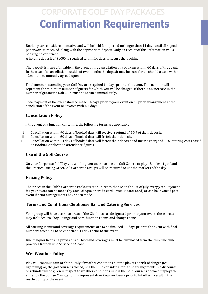### CORPORATEGOLF DAYPACKAGES  **Confirmation Requirements**

Bookings are considered tentative and will be held for a period no longer than 14 days until all signed paperwork is received, along with the appropriate deposit. Only on receipt of this information will a booking be confirmed.

A holding deposit of \$1000 is required within 14 days to secure the booking.

The deposit is non-refundable in the event of the cancellation of a booking within 60 days of the event. In the case of a cancellation outside of two months the deposit may be transferred should a date within 12months be mutually agreed upon.

Final numbers attending your Golf Day are required 14 days prior to the event. This number will represent the minimum number of guests for which you will be charged. If there is an increase in the number of guests the Golf Club must be notified immediately.

Total payment of the event shall be made 14 days prior to your event on by prior arrangement at the conclusion of the event on invoice within 7 days.

#### **Cancellation Policy**

In the event of a function cancelling, the following terms are applicable:

- i. Cancellation within 90 days of booked date will receive a refund of 50% of their deposit.
- ii. Cancellation within 60 days of booked date will forfeit their deposit.
- iii. Cancellation within 14 days of booked date will forfeit their deposit and incur a charge of 50% catering costs based on Booking Application attendance figures.

#### **Use of the Golf Course**

On your Corporate Golf Day you will be given access to use the Golf Course to play 18 holes of golf and the Practice Putting Green. All Corporate Groups will be required to use the markers of the day.

#### **Pricing Policy**

The prices in the Club's Corporate Packages are subject to change on the 1st of July every year. Payment for your event can be made (by cash, cheque or credit card – Visa, Master Card) or can be invoiced post event if prior arrangements have been made.

#### **Terms and Conditions Clubhouse Bar and Catering Services**

Your group will have access to areas of the Clubhouse as designated prior to your event, these areas may include; Pro Shop, lounge and bars, function rooms and change rooms.

All catering menus and beverage requirements are to be finalized 30 days prior to the event with final numbers attending to be confirmed 14 days prior to the event.

Due to liquor licensing provisions all food and beverages must be purchased from the club. The club practices Responsible Service of Alcohol.

#### **Wet Weather Policy**

Play will continue rain or shine. Only if weather conditions put the players at risk of danger (ie; lightening) or, the golf course is closed, will the Club consider alternative arrangements. No discounts or refunds will be given in respect to weather conditions unless the Golf Course is deemed unplayable either by the Course Manager or his representative. Course closure prior to hit off will result in the rescheduling of the event.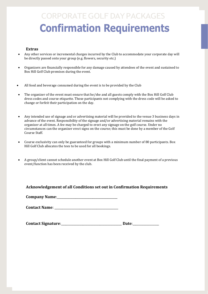## CORPORATEGOLF DAYPACKAGES  **Confirmation Requirements**

#### **Extras**

- Any other services or incremental charges incurred by the Club to accommodate your corporate day will be directly passed onto your group (e.g. flowers, security etc.)
- Organizers are financially responsible for any damage caused by attendees of the event and sustained to Box Hill Golf Club premises during the event.
- All food and beverage consumed during the event is to be provided by the Club
- The organizer of the event must ensure that he/she and all guests comply with the Box Hill Golf Club dress codes and course etiquette. Those participants not complying with the dress code will be asked to change or forfeit their participation on the day.
- Any intended use of signage and or advertising material will be provided to the venue 3 business days in advance of the event. Responsibility of the signage and/or advertising material remains with the organizer at all times. A fee may be charged to erect any signage on the golf course. Under no circumstances can the organizer erect signs on the course; this must be done by a member of the Golf Course Staff.
- Course exclusivity can only be guaranteed for groups with a minimum number of 80 participants. Box Hill Golf Club allocates the tees to be used for all bookings.
- A group/client cannot schedule another event at Box Hill Golf Club until the final payment of a previous event/function has been received by the club.

#### **Acknowledgement of all Conditions set out in Confirmation Requirements**

**Company Name:** 

**Contact Name:**  $\blacksquare$ 

| <b>Contact Signature:</b> | <b>Date:</b> |
|---------------------------|--------------|
|---------------------------|--------------|